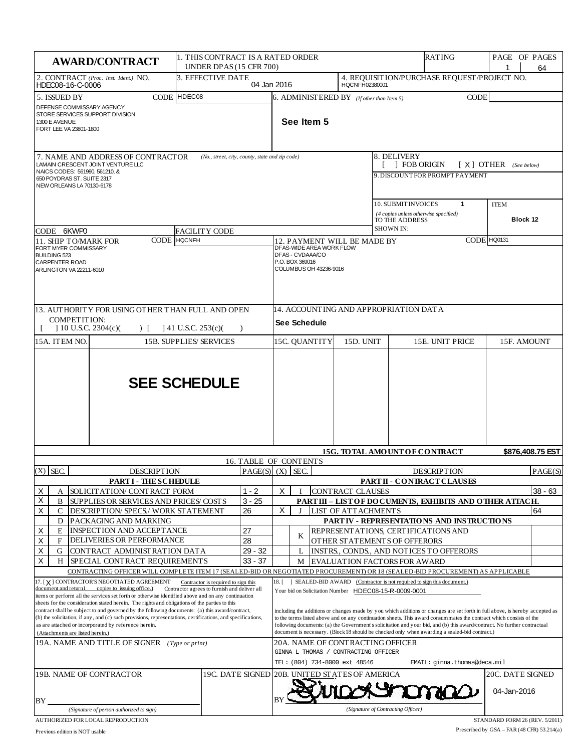| <b>AWARD/CONTRACT</b>                                                                                                                                                                                                                                                                                                                                                                                                                                                                                                                                                                                                                                                                                                                                   |                               | 1. THIS CONTRACT IS A RATED ORDER<br><b>UNDER DPAS (15 CFR 700)</b> |                                                                                                                                                                                                                                                                                                                                                                                                                                                                                                                                                                                                                                                                |                                                                                                       |                                                                                                                               | RATING                                      | PAGE OF PAGES                                             | 64                                                  |                         |         |
|---------------------------------------------------------------------------------------------------------------------------------------------------------------------------------------------------------------------------------------------------------------------------------------------------------------------------------------------------------------------------------------------------------------------------------------------------------------------------------------------------------------------------------------------------------------------------------------------------------------------------------------------------------------------------------------------------------------------------------------------------------|-------------------------------|---------------------------------------------------------------------|----------------------------------------------------------------------------------------------------------------------------------------------------------------------------------------------------------------------------------------------------------------------------------------------------------------------------------------------------------------------------------------------------------------------------------------------------------------------------------------------------------------------------------------------------------------------------------------------------------------------------------------------------------------|-------------------------------------------------------------------------------------------------------|-------------------------------------------------------------------------------------------------------------------------------|---------------------------------------------|-----------------------------------------------------------|-----------------------------------------------------|-------------------------|---------|
| 2. CONTRACT (Proc. Inst. Ident.) NO.<br>HDEC08-16-C-0006                                                                                                                                                                                                                                                                                                                                                                                                                                                                                                                                                                                                                                                                                                | 3. EFFECTIVE DATE             | 04 Jan 2016                                                         |                                                                                                                                                                                                                                                                                                                                                                                                                                                                                                                                                                                                                                                                |                                                                                                       | HQCNFH02380001                                                                                                                | 4. REQUISITION/PURCHASE REQUEST/PROJECT NO. |                                                           |                                                     |                         |         |
| CODE HDEC08<br>5. ISSUED BY<br>DEFENSE COMMISSARY AGENCY<br>STORE SERVICES SUPPORT DIVISION<br>1300 E AVENUE<br>FORT LEE VA 23801-1800                                                                                                                                                                                                                                                                                                                                                                                                                                                                                                                                                                                                                  |                               |                                                                     |                                                                                                                                                                                                                                                                                                                                                                                                                                                                                                                                                                                                                                                                |                                                                                                       | $6.$ ADMINISTERED BY ( <i>If other than Item 5</i> )<br><b>CODE</b><br>See Item 5                                             |                                             |                                                           |                                                     |                         |         |
| 7. NAME AND ADDRESS OF CONTRACTOR<br>(No., street, city, county, state and zip code)<br>LAMAIN CRESCENT JOINT VENTURE LLC<br>NAICS CODES: 561990, 561210, &<br>650 POYDRAS ST. SUITE 2317<br>NEW ORLEANS LA 70130-6178                                                                                                                                                                                                                                                                                                                                                                                                                                                                                                                                  |                               |                                                                     |                                                                                                                                                                                                                                                                                                                                                                                                                                                                                                                                                                                                                                                                |                                                                                                       |                                                                                                                               |                                             | 8. DELIVERY                                               | <b>FOB ORIGIN</b><br>9. DISCOUNT FOR PROMPTP AYMENT | $[X]$ OTHER (See below) |         |
| CODE 6KWP0                                                                                                                                                                                                                                                                                                                                                                                                                                                                                                                                                                                                                                                                                                                                              | <b>FACILITY CODE</b>          |                                                                     |                                                                                                                                                                                                                                                                                                                                                                                                                                                                                                                                                                                                                                                                |                                                                                                       |                                                                                                                               |                                             | 10. SUBMIT INVOICES<br>TO THE ADDRESS<br><b>SHOWN IN:</b> | 1<br>(4 copies unless otherwise specified)          | <b>ITEM</b><br>Block 12 |         |
| CODE<br><b>11. SHIP TO/MARK FOR</b>                                                                                                                                                                                                                                                                                                                                                                                                                                                                                                                                                                                                                                                                                                                     | <b>HQCNFH</b>                 |                                                                     |                                                                                                                                                                                                                                                                                                                                                                                                                                                                                                                                                                                                                                                                | CODE HQ0131<br>12. PAYMENT WILL BE MADE BY                                                            |                                                                                                                               |                                             |                                                           |                                                     |                         |         |
| FORT MYER COMMISSARY<br><b>BUILDING 523</b><br><b>CARPENTER ROAD</b><br>ARLINGTON VA 22211-6010                                                                                                                                                                                                                                                                                                                                                                                                                                                                                                                                                                                                                                                         |                               |                                                                     |                                                                                                                                                                                                                                                                                                                                                                                                                                                                                                                                                                                                                                                                | DFAS-WIDE AREA WORK FLOW<br>DFAS - CVDAAA/CO<br>P.O. BOX 369016<br>COLUMBUS OH 43236-9016             |                                                                                                                               |                                             |                                                           |                                                     |                         |         |
| 13. AUTHORITY FOR USING OTHER THAN FULL AND OPEN<br><b>COMPETITION:</b><br>$\vert$ 10 U.S.C. 2304(c)(<br>$141$ U.S.C. 253(c)(<br>$\left  \cdot \right $<br>$\lambda$                                                                                                                                                                                                                                                                                                                                                                                                                                                                                                                                                                                    |                               |                                                                     |                                                                                                                                                                                                                                                                                                                                                                                                                                                                                                                                                                                                                                                                | 14. ACCOUNTING AND APPROPRIATION DATA<br>See Schedule                                                 |                                                                                                                               |                                             |                                                           |                                                     |                         |         |
| 15A. ITEM NO.                                                                                                                                                                                                                                                                                                                                                                                                                                                                                                                                                                                                                                                                                                                                           | <b>15B. SUPPLIES/SERVICES</b> |                                                                     |                                                                                                                                                                                                                                                                                                                                                                                                                                                                                                                                                                                                                                                                | 15C. QUANTITY                                                                                         |                                                                                                                               | 15D. UNIT                                   |                                                           | 15E. UNIT PRICE                                     | 15F. AMOUNT             |         |
|                                                                                                                                                                                                                                                                                                                                                                                                                                                                                                                                                                                                                                                                                                                                                         | <b>SEE SCHEDULE</b>           |                                                                     |                                                                                                                                                                                                                                                                                                                                                                                                                                                                                                                                                                                                                                                                |                                                                                                       |                                                                                                                               |                                             |                                                           |                                                     |                         |         |
|                                                                                                                                                                                                                                                                                                                                                                                                                                                                                                                                                                                                                                                                                                                                                         |                               |                                                                     | 15G. TOTAL AMOUNT OF CONTRACT<br>\$876,408.75 EST<br><b>16. TABLE OF CONTENTS</b>                                                                                                                                                                                                                                                                                                                                                                                                                                                                                                                                                                              |                                                                                                       |                                                                                                                               |                                             |                                                           |                                                     |                         |         |
| $(X)$ SEC.<br><b>DESCRIPTION</b>                                                                                                                                                                                                                                                                                                                                                                                                                                                                                                                                                                                                                                                                                                                        |                               | PAGE(S)   (X)   SEC.                                                |                                                                                                                                                                                                                                                                                                                                                                                                                                                                                                                                                                                                                                                                |                                                                                                       |                                                                                                                               |                                             |                                                           | <b>DESCRIPTION</b>                                  |                         | PAGE(S) |
| <b>PARTI - THESCHEDULE</b>                                                                                                                                                                                                                                                                                                                                                                                                                                                                                                                                                                                                                                                                                                                              |                               |                                                                     |                                                                                                                                                                                                                                                                                                                                                                                                                                                                                                                                                                                                                                                                |                                                                                                       |                                                                                                                               |                                             |                                                           | <b>PARTII - CONTRACT CLAUSES</b>                    |                         |         |
| SOLICITATION/ CONTRACT FORM<br>х<br>A                                                                                                                                                                                                                                                                                                                                                                                                                                                                                                                                                                                                                                                                                                                   |                               | $1 - 2$                                                             | X.<br><b>CONTRACT CLAUSES</b><br>$38 - 63$                                                                                                                                                                                                                                                                                                                                                                                                                                                                                                                                                                                                                     |                                                                                                       |                                                                                                                               |                                             |                                                           |                                                     |                         |         |
| Χ<br>B<br>SUPPLIES OR SERVICES AND PRICES/COSTS                                                                                                                                                                                                                                                                                                                                                                                                                                                                                                                                                                                                                                                                                                         |                               | $3 - 25$                                                            | PART III - LIST OF DOCUMENTS, EXHIBITS AND OTHER ATTACH.                                                                                                                                                                                                                                                                                                                                                                                                                                                                                                                                                                                                       |                                                                                                       |                                                                                                                               |                                             |                                                           |                                                     |                         |         |
| X<br>C<br>DESCRIPTION/ SPECS./ WORK STATEMENT<br>D                                                                                                                                                                                                                                                                                                                                                                                                                                                                                                                                                                                                                                                                                                      |                               | 26                                                                  | Χ<br>64<br>LIST OF ATTACHMENTS<br>PARTIV - REPRESENTATIONS AND INSTRUCTIONS                                                                                                                                                                                                                                                                                                                                                                                                                                                                                                                                                                                    |                                                                                                       |                                                                                                                               |                                             |                                                           |                                                     |                         |         |
| PACKAGING AND MARKING<br>INSPECTION AND ACCEPTANCE<br>х<br>E                                                                                                                                                                                                                                                                                                                                                                                                                                                                                                                                                                                                                                                                                            |                               | 27                                                                  |                                                                                                                                                                                                                                                                                                                                                                                                                                                                                                                                                                                                                                                                |                                                                                                       |                                                                                                                               |                                             |                                                           | REPRESENT ATIONS, CERTIFICATIONS AND                |                         |         |
| Χ<br>DELIVERIES OR PERFORMANCE<br>F                                                                                                                                                                                                                                                                                                                                                                                                                                                                                                                                                                                                                                                                                                                     |                               | 28                                                                  |                                                                                                                                                                                                                                                                                                                                                                                                                                                                                                                                                                                                                                                                | K                                                                                                     |                                                                                                                               |                                             | OTHER STATEMENTS OF OFFERORS                              |                                                     |                         |         |
| Χ<br>CONTRACT ADMINISTRATION DATA<br>G                                                                                                                                                                                                                                                                                                                                                                                                                                                                                                                                                                                                                                                                                                                  |                               | $29 - 32$                                                           |                                                                                                                                                                                                                                                                                                                                                                                                                                                                                                                                                                                                                                                                |                                                                                                       |                                                                                                                               |                                             |                                                           | INSTRS., CONDS., AND NOTICES TO OFFERORS            |                         |         |
| Х<br>H<br>SPECIAL CONTRACT REQUIREMENTS                                                                                                                                                                                                                                                                                                                                                                                                                                                                                                                                                                                                                                                                                                                 |                               | $33 - 37$                                                           | EVALUATION FACTORS FOR AWARD<br>М                                                                                                                                                                                                                                                                                                                                                                                                                                                                                                                                                                                                                              |                                                                                                       |                                                                                                                               |                                             |                                                           |                                                     |                         |         |
|                                                                                                                                                                                                                                                                                                                                                                                                                                                                                                                                                                                                                                                                                                                                                         |                               |                                                                     |                                                                                                                                                                                                                                                                                                                                                                                                                                                                                                                                                                                                                                                                |                                                                                                       | CONTRACTING OFFICER WILL COMPLETE ITEM 17 (SEALED-BID OR NEGOTIATED PROCUREMENT) OR 18 (SEALED-BID PROCUREMENT) AS APPLICABLE |                                             |                                                           |                                                     |                         |         |
| 17. [X] CONTRACTOR'S NEGOTIATED AGREEMENT<br>Contractor is required to sign this<br>document and return1 copies to issuing office.)<br>Contractor agrees to furnish and deliver all<br>items or perform all the services set forth or otherwise identified above and on any continuation<br>sheets for the consideration stated herein. The rights and obligations of the parties to this<br>contract shall be subject to and governed by the following documents: (a) this award/contract,<br>(b) the solicitation, if any, and (c) such provisions, representations, certifications, and specifications,<br>as are attached or incorporated by reference herein.<br>(Attachments are listed herein.)<br>19A. NAME AND TITLE OF SIGNER (Type or print) |                               |                                                                     | ] SEALED-BID AWARD (Contractor is not required to sign this document.)<br>18.<br>Your bid on Solicitation Number HDEC08-15-R-0009-0001<br>including the additions or changes made by you which additions or changes are set forth in full above, is hereby accepted as<br>to the terms listed above and on any continuation sheets. This award consummates the contract which consists of the<br>following documents: (a) the Government's solicitation and your bid, and (b) this award/contract. No further contractual<br>document is necessary. (Block 18 should be checked only when awarding a sealed-bid contract.)<br>20A. NAME OF CONTRACTING OFFICER |                                                                                                       |                                                                                                                               |                                             |                                                           |                                                     |                         |         |
|                                                                                                                                                                                                                                                                                                                                                                                                                                                                                                                                                                                                                                                                                                                                                         |                               |                                                                     |                                                                                                                                                                                                                                                                                                                                                                                                                                                                                                                                                                                                                                                                | GINNA L THOMAS / CONTRACTING OFFICER<br>TEL: (804) 734-8000 ext 48546<br>EMAIL: ginna.thomas@deca.mil |                                                                                                                               |                                             |                                                           |                                                     |                         |         |
| 19C. DATE SIGNED<br>19B. NAME OF CONTRACTOR                                                                                                                                                                                                                                                                                                                                                                                                                                                                                                                                                                                                                                                                                                             |                               |                                                                     | 20C. DATE SIGNED<br>20B. UNITED STATES OF AMERICA                                                                                                                                                                                                                                                                                                                                                                                                                                                                                                                                                                                                              |                                                                                                       |                                                                                                                               |                                             |                                                           |                                                     |                         |         |
| BY<br>(Signature of person authorized to sign)                                                                                                                                                                                                                                                                                                                                                                                                                                                                                                                                                                                                                                                                                                          |                               |                                                                     |                                                                                                                                                                                                                                                                                                                                                                                                                                                                                                                                                                                                                                                                |                                                                                                       |                                                                                                                               |                                             | (Signature of Contracting Officer)                        |                                                     | 04-Jan-2016             |         |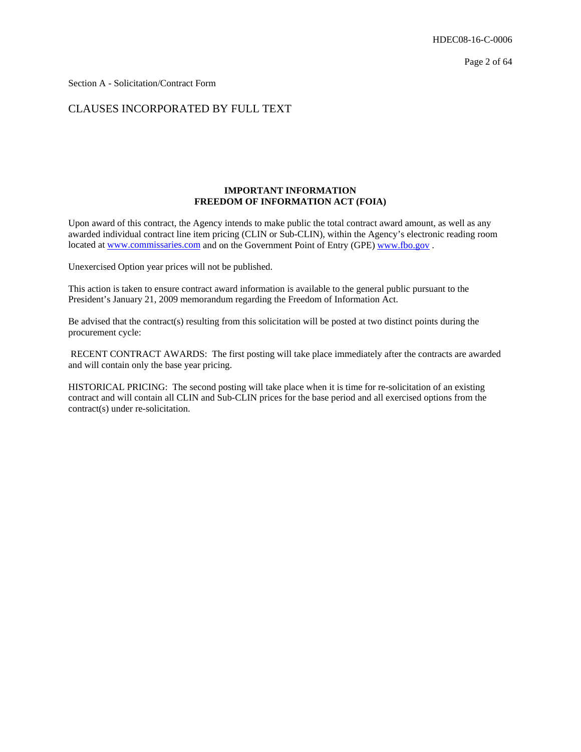Section A - Solicitation/Contract Form

## CLAUSES INCORPORATED BY FULL TEXT

## **IMPORTANT INFORMATION FREEDOM OF INFORMATION ACT (FOIA)**

Upon award of this contract, the Agency intends to make public the total contract award amount, as well as any awarded individual contract line item pricing (CLIN or Sub-CLIN), within the Agency's electronic reading room located at www.commissaries.com and on the Government Point of Entry (GPE) www.fbo.gov.

Unexercised Option year prices will not be published.

This action is taken to ensure contract award information is available to the general public pursuant to the President's January 21, 2009 memorandum regarding the Freedom of Information Act.

Be advised that the contract(s) resulting from this solicitation will be posted at two distinct points during the procurement cycle:

 RECENT CONTRACT AWARDS: The first posting will take place immediately after the contracts are awarded and will contain only the base year pricing.

HISTORICAL PRICING: The second posting will take place when it is time for re-solicitation of an existing contract and will contain all CLIN and Sub-CLIN prices for the base period and all exercised options from the contract(s) under re-solicitation.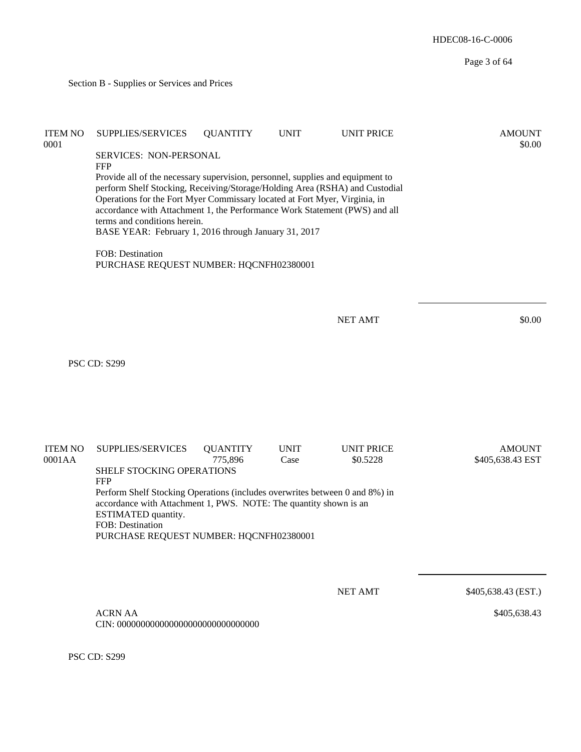HDEC08-16-C-0006 Page 3 of 64 Section B - Supplies or Services and Prices ITEM NO SUPPLIES/SERVICES QUANTITY UNIT UNIT PRICE AMOUNT  $0.0001$  \$0.00 SERVICES: NON-PERSONAL **FFP** Provide all of the necessary supervision, personnel, supplies and equipment to perform Shelf Stocking, Receiving/Storage/Holding Area (RSHA) and Custodial Operations for the Fort Myer Commissary located at Fort Myer, Virginia, in accordance with Attachment 1, the Performance Work Statement (PWS) and all terms and conditions herein. BASE YEAR: February 1, 2016 through January 31, 2017 FOB: Destination PURCHASE REQUEST NUMBER: HQCNFH02380001 NET AMT \$0.00 PSC CD: S299 ITEM NO SUPPLIES/SERVICES QUANTITY UNIT UNIT PRICE AMOUNT 0001AA 6001AA 775,896 Case \$0.5228 \$405,638.43 EST SHELF STOCKING OPERATIONS FFP Perform Shelf Stocking Operations (includes overwrites between 0 and 8%) in accordance with Attachment 1, PWS. NOTE: The quantity shown is an ESTIMATED quantity. FOB: Destination PURCHASE REQUEST NUMBER: HQCNFH02380001 NET AMT \$405,638.43 (EST.)

\$405,638.43

 ACRN AA CIN: 000000000000000000000000000000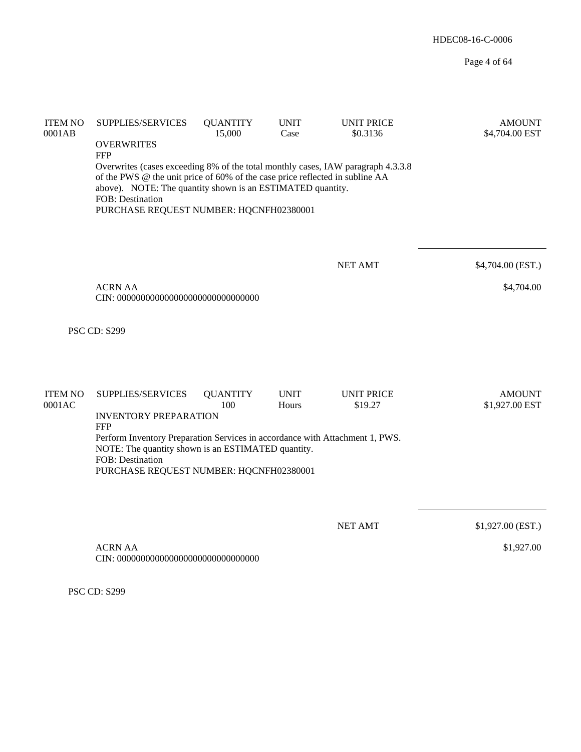| <b>ITEM NO</b><br>0001AB | SUPPLIES/SERVICES<br><b>OVERWRITES</b><br><b>FFP</b><br>Overwrites (cases exceeding 8% of the total monthly cases, IAW paragraph 4.3.3.8<br>of the PWS @ the unit price of 60% of the case price reflected in subline AA<br>above). NOTE: The quantity shown is an ESTIMATED quantity.<br><b>FOB</b> : Destination<br>PURCHASE REQUEST NUMBER: HQCNFH02380001 | <b>QUANTITY</b><br>15,000 | <b>UNIT</b><br>Case  | <b>UNIT PRICE</b><br>\$0.3136 | <b>AMOUNT</b><br>\$4,704.00 EST |
|--------------------------|---------------------------------------------------------------------------------------------------------------------------------------------------------------------------------------------------------------------------------------------------------------------------------------------------------------------------------------------------------------|---------------------------|----------------------|-------------------------------|---------------------------------|
|                          | <b>ACRN AA</b>                                                                                                                                                                                                                                                                                                                                                |                           |                      | <b>NET AMT</b>                | \$4,704.00 (EST.)<br>\$4,704.00 |
|                          | <b>PSC CD: S299</b>                                                                                                                                                                                                                                                                                                                                           |                           |                      |                               |                                 |
| <b>ITEM NO</b><br>0001AC | SUPPLIES/SERVICES<br><b>INVENTORY PREPARATION</b><br><b>FFP</b><br>Perform Inventory Preparation Services in accordance with Attachment 1, PWS.<br>NOTE: The quantity shown is an ESTIMATED quantity.<br><b>FOB</b> : Destination<br>PURCHASE REQUEST NUMBER: HQCNFH02380001                                                                                  | <b>QUANTITY</b><br>100    | <b>UNIT</b><br>Hours | <b>UNIT PRICE</b><br>\$19.27  | <b>AMOUNT</b><br>\$1,927.00 EST |
|                          | <b>ACRN AA</b>                                                                                                                                                                                                                                                                                                                                                |                           |                      | <b>NET AMT</b>                | \$1,927.00 (EST.)<br>\$1,927.00 |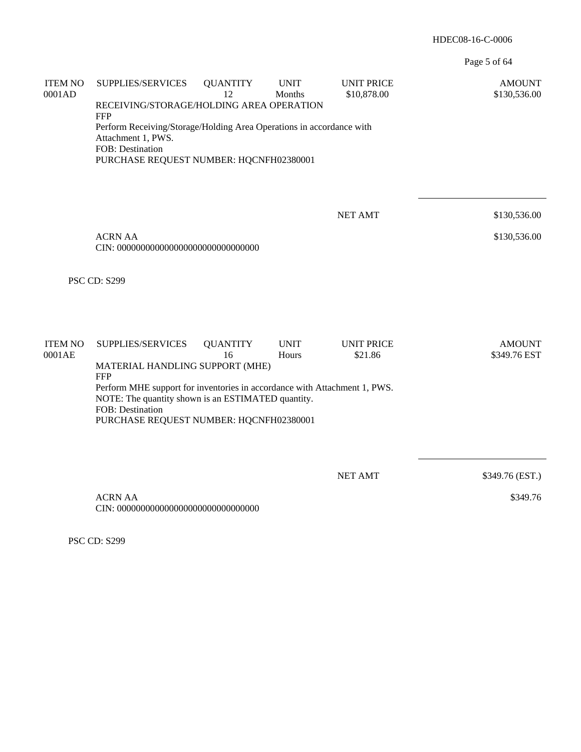Page 5 of 64

| <b>ITEM NO</b><br>0001AD | SUPPLIES/SERVICES<br>RECEIVING/STORAGE/HOLDING AREA OPERATION                                                                                                                                                | <b>QUANTITY</b><br>12 | <b>UNIT</b><br>Months | <b>UNIT PRICE</b><br>\$10,878.00 | <b>AMOUNT</b><br>\$130,536.00 |  |  |  |
|--------------------------|--------------------------------------------------------------------------------------------------------------------------------------------------------------------------------------------------------------|-----------------------|-----------------------|----------------------------------|-------------------------------|--|--|--|
|                          | <b>FFP</b><br>Perform Receiving/Storage/Holding Area Operations in accordance with<br>Attachment 1, PWS.<br>FOB: Destination<br>PURCHASE REQUEST NUMBER: HQCNFH02380001                                      |                       |                       |                                  |                               |  |  |  |
|                          |                                                                                                                                                                                                              |                       |                       |                                  |                               |  |  |  |
|                          |                                                                                                                                                                                                              |                       |                       | <b>NET AMT</b>                   | \$130,536.00                  |  |  |  |
|                          | <b>ACRN AA</b>                                                                                                                                                                                               |                       |                       |                                  | \$130,536.00                  |  |  |  |
|                          |                                                                                                                                                                                                              |                       |                       |                                  |                               |  |  |  |
|                          | <b>PSC CD: S299</b>                                                                                                                                                                                          |                       |                       |                                  |                               |  |  |  |
| <b>ITEM NO</b><br>0001AE | SUPPLIES/SERVICES                                                                                                                                                                                            | <b>QUANTITY</b><br>16 | <b>UNIT</b><br>Hours  | <b>UNIT PRICE</b><br>\$21.86     | <b>AMOUNT</b><br>\$349.76 EST |  |  |  |
|                          | MATERIAL HANDLING SUPPORT (MHE)                                                                                                                                                                              |                       |                       |                                  |                               |  |  |  |
|                          | <b>FFP</b><br>Perform MHE support for inventories in accordance with Attachment 1, PWS.<br>NOTE: The quantity shown is an ESTIMATED quantity.<br>FOB: Destination<br>PURCHASE REQUEST NUMBER: HQCNFH02380001 |                       |                       |                                  |                               |  |  |  |
|                          |                                                                                                                                                                                                              |                       |                       |                                  |                               |  |  |  |
|                          |                                                                                                                                                                                                              |                       |                       | <b>NET AMT</b>                   | \$349.76 (EST.)               |  |  |  |
|                          | <b>ACRN AA</b>                                                                                                                                                                                               |                       |                       |                                  | \$349.76                      |  |  |  |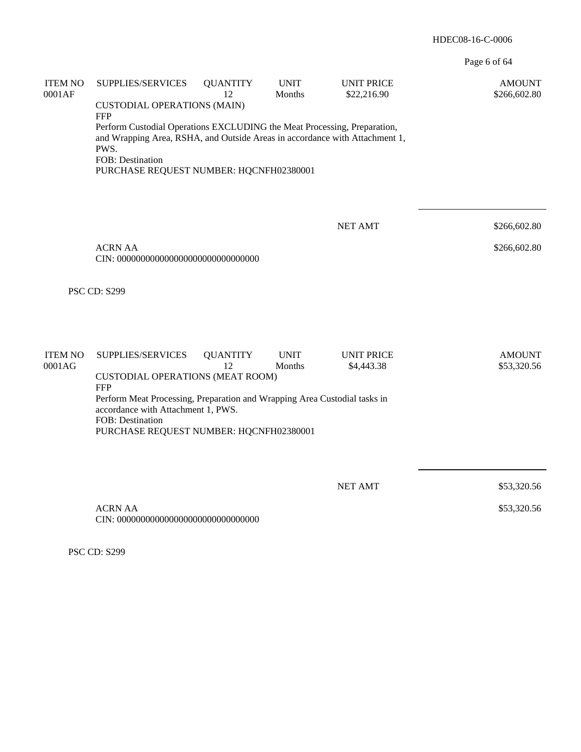Page 6 of 64

| <b>ITEM NO</b><br>0001AF | SUPPLIES/SERVICES                                                                                                                                                                                                                            | <b>QUANTITY</b><br>12 | <b>UNIT</b><br>Months | <b>UNIT PRICE</b><br>\$22,216.90 | <b>AMOUNT</b><br>\$266,602.80 |  |  |  |
|--------------------------|----------------------------------------------------------------------------------------------------------------------------------------------------------------------------------------------------------------------------------------------|-----------------------|-----------------------|----------------------------------|-------------------------------|--|--|--|
|                          | <b>CUSTODIAL OPERATIONS (MAIN)</b>                                                                                                                                                                                                           |                       |                       |                                  |                               |  |  |  |
|                          | <b>FFP</b><br>Perform Custodial Operations EXCLUDING the Meat Processing, Preparation,<br>and Wrapping Area, RSHA, and Outside Areas in accordance with Attachment 1,<br>PWS.<br>FOB: Destination<br>PURCHASE REQUEST NUMBER: HQCNFH02380001 |                       |                       |                                  |                               |  |  |  |
|                          |                                                                                                                                                                                                                                              |                       |                       |                                  |                               |  |  |  |
|                          |                                                                                                                                                                                                                                              |                       |                       | <b>NET AMT</b>                   | \$266,602.80                  |  |  |  |
|                          | <b>ACRN AA</b>                                                                                                                                                                                                                               |                       |                       |                                  | \$266,602.80                  |  |  |  |
|                          | <b>PSC CD: S299</b>                                                                                                                                                                                                                          |                       |                       |                                  |                               |  |  |  |
|                          |                                                                                                                                                                                                                                              |                       |                       |                                  |                               |  |  |  |
| <b>ITEM NO</b><br>0001AG | SUPPLIES/SERVICES                                                                                                                                                                                                                            | <b>QUANTITY</b><br>12 | <b>UNIT</b><br>Months | <b>UNIT PRICE</b><br>\$4,443.38  | <b>AMOUNT</b><br>\$53,320.56  |  |  |  |
|                          | <b>CUSTODIAL OPERATIONS (MEAT ROOM)</b><br><b>FFP</b>                                                                                                                                                                                        |                       |                       |                                  |                               |  |  |  |
|                          | Perform Meat Processing, Preparation and Wrapping Area Custodial tasks in<br>accordance with Attachment 1, PWS.<br>FOB: Destination                                                                                                          |                       |                       |                                  |                               |  |  |  |
|                          | PURCHASE REQUEST NUMBER: HQCNFH02380001                                                                                                                                                                                                      |                       |                       |                                  |                               |  |  |  |
|                          |                                                                                                                                                                                                                                              |                       |                       |                                  |                               |  |  |  |
|                          |                                                                                                                                                                                                                                              |                       |                       | <b>NET AMT</b>                   | \$53,320.56                   |  |  |  |
|                          | <b>ACRN AA</b>                                                                                                                                                                                                                               |                       |                       |                                  | \$53,320.56                   |  |  |  |
|                          |                                                                                                                                                                                                                                              |                       |                       |                                  |                               |  |  |  |